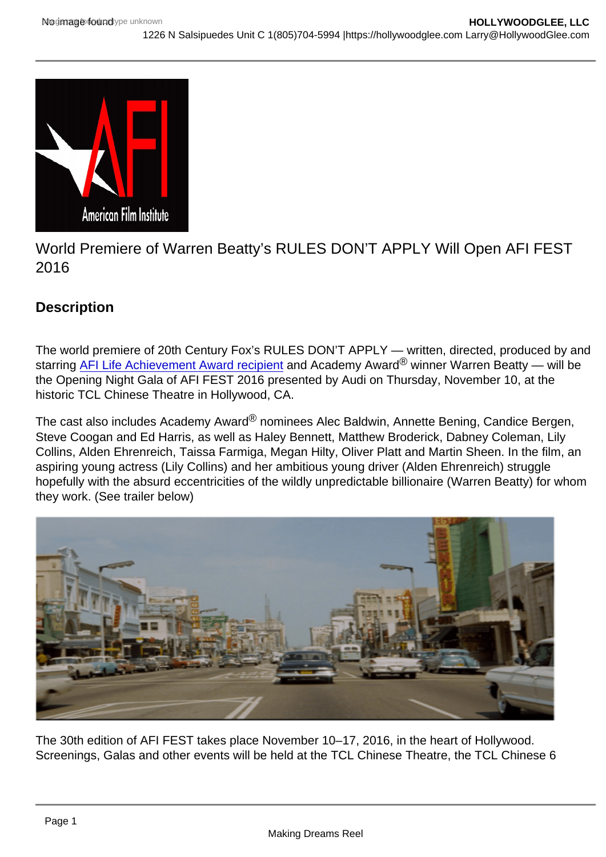## World Premiere of Warren Beatty's RULES DON'T APPLY Will Open AFI FEST 2016

## **Description**

The world premiere of 20th Century Fox's RULES DON'T APPLY — written, directed, produced by and starring [AFI Life Achievement Award recipient](http://www.afi.com/laa/laa08.aspx) and Academy Award® winner Warren Beatty — will be the Opening Night Gala of AFI FEST 2016 presented by Audi on Thursday, November 10, at the historic TCL Chinese Theatre in Hollywood, CA.

The cast also includes Academy Award<sup>®</sup> nominees Alec Baldwin, Annette Bening, Candice Bergen, Steve Coogan and Ed Harris, as well as Haley Bennett, Matthew Broderick, Dabney Coleman, Lily Collins, Alden Ehrenreich, Taissa Farmiga, Megan Hilty, Oliver Platt and Martin Sheen. In the film, an aspiring young actress (Lily Collins) and her ambitious young driver (Alden Ehrenreich) struggle hopefully with the absurd eccentricities of the wildly unpredictable billionaire (Warren Beatty) for whom they work. (See trailer below)

The 30th edition of AFI FEST takes place November 10–17, 2016, in the heart of Hollywood. Screenings, Galas and other events will be held at the TCL Chinese Theatre, the TCL Chinese 6